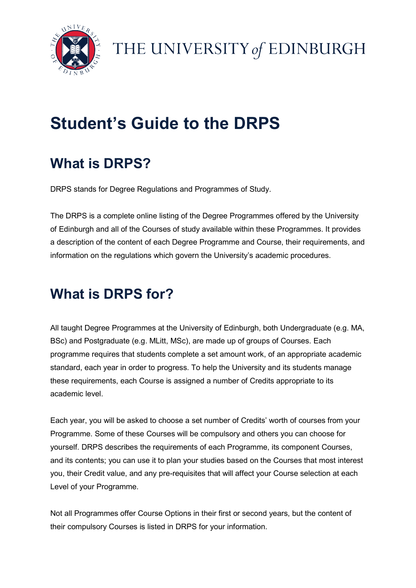

# Student's Guide to the DRPS

## What is DRPS?

DRPS stands for Degree Regulations and Programmes of Study.

The DRPS is a complete online listing of the Degree Programmes offered by the University of Edinburgh and all of the Courses of study available within these Programmes. It provides a description of the content of each Degree Programme and Course, their requirements, and information on the regulations which govern the University's academic procedures.

# What is DRPS for?

All taught Degree Programmes at the University of Edinburgh, both Undergraduate (e.g. MA, BSc) and Postgraduate (e.g. MLitt, MSc), are made up of groups of Courses. Each programme requires that students complete a set amount work, of an appropriate academic standard, each year in order to progress. To help the University and its students manage these requirements, each Course is assigned a number of Credits appropriate to its academic level.

Each year, you will be asked to choose a set number of Credits' worth of courses from your Programme. Some of these Courses will be compulsory and others you can choose for yourself. DRPS describes the requirements of each Programme, its component Courses, and its contents; you can use it to plan your studies based on the Courses that most interest you, their Credit value, and any pre-requisites that will affect your Course selection at each Level of your Programme.

Not all Programmes offer Course Options in their first or second years, but the content of their compulsory Courses is listed in DRPS for your information.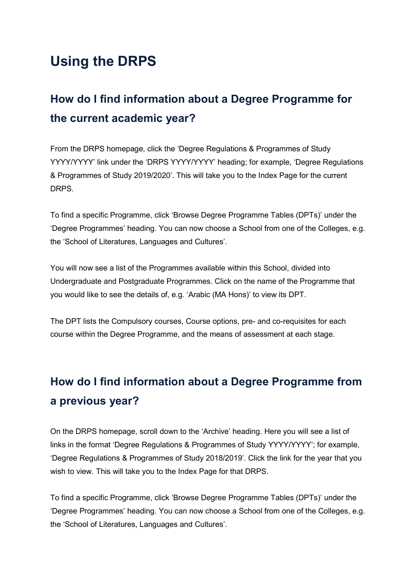### Using the DRPS

### How do I find information about a Degree Programme for the current academic year?

From the DRPS homepage, click the 'Degree Regulations & Programmes of Study YYYY/YYYY' link under the 'DRPS YYYY/YYYY' heading; for example, 'Degree Regulations & Programmes of Study 2019/2020'. This will take you to the Index Page for the current DRPS.

To find a specific Programme, click 'Browse Degree Programme Tables (DPTs)' under the 'Degree Programmes' heading. You can now choose a School from one of the Colleges, e.g. the 'School of Literatures, Languages and Cultures'.

You will now see a list of the Programmes available within this School, divided into Undergraduate and Postgraduate Programmes. Click on the name of the Programme that you would like to see the details of, e.g. 'Arabic (MA Hons)' to view its DPT.

The DPT lists the Compulsory courses, Course options, pre- and co-requisites for each course within the Degree Programme, and the means of assessment at each stage.

### How do I find information about a Degree Programme from a previous year?

On the DRPS homepage, scroll down to the 'Archive' heading. Here you will see a list of links in the format 'Degree Regulations & Programmes of Study YYYY/YYYY'; for example, 'Degree Regulations & Programmes of Study 2018/2019'. Click the link for the year that you wish to view. This will take you to the Index Page for that DRPS.

To find a specific Programme, click 'Browse Degree Programme Tables (DPTs)' under the 'Degree Programmes' heading. You can now choose a School from one of the Colleges, e.g. the 'School of Literatures, Languages and Cultures'.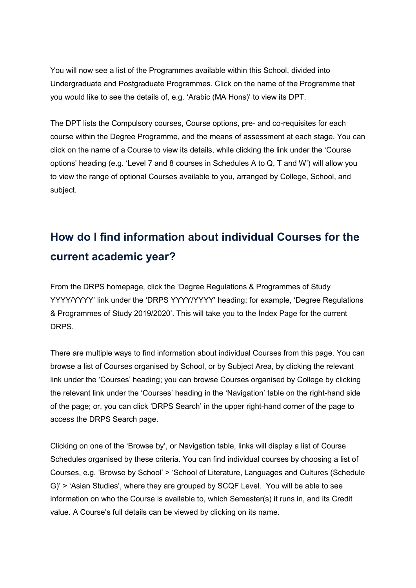You will now see a list of the Programmes available within this School, divided into Undergraduate and Postgraduate Programmes. Click on the name of the Programme that you would like to see the details of, e.g. 'Arabic (MA Hons)' to view its DPT.

The DPT lists the Compulsory courses, Course options, pre- and co-requisites for each course within the Degree Programme, and the means of assessment at each stage. You can click on the name of a Course to view its details, while clicking the link under the 'Course options' heading (e.g. 'Level 7 and 8 courses in Schedules A to Q, T and W') will allow you to view the range of optional Courses available to you, arranged by College, School, and subject.

#### How do I find information about individual Courses for the current academic year?

From the DRPS homepage, click the 'Degree Regulations & Programmes of Study YYYY/YYYY' link under the 'DRPS YYYY/YYYY' heading; for example, 'Degree Regulations & Programmes of Study 2019/2020'. This will take you to the Index Page for the current DRPS.

There are multiple ways to find information about individual Courses from this page. You can browse a list of Courses organised by School, or by Subject Area, by clicking the relevant link under the 'Courses' heading; you can browse Courses organised by College by clicking the relevant link under the 'Courses' heading in the 'Navigation' table on the right-hand side of the page; or, you can click 'DRPS Search' in the upper right-hand corner of the page to access the DRPS Search page.

Clicking on one of the 'Browse by', or Navigation table, links will display a list of Course Schedules organised by these criteria. You can find individual courses by choosing a list of Courses, e.g. 'Browse by School' > 'School of Literature, Languages and Cultures (Schedule G)' > 'Asian Studies', where they are grouped by SCQF Level. You will be able to see information on who the Course is available to, which Semester(s) it runs in, and its Credit value. A Course's full details can be viewed by clicking on its name.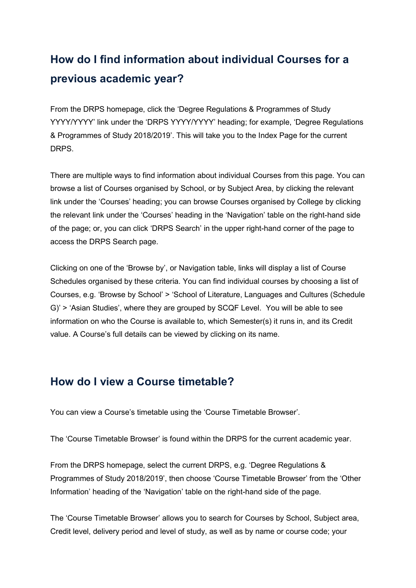#### How do I find information about individual Courses for a previous academic year?

From the DRPS homepage, click the 'Degree Regulations & Programmes of Study YYYY/YYYY' link under the 'DRPS YYYY/YYYY' heading; for example, 'Degree Regulations & Programmes of Study 2018/2019'. This will take you to the Index Page for the current DRPS.

There are multiple ways to find information about individual Courses from this page. You can browse a list of Courses organised by School, or by Subject Area, by clicking the relevant link under the 'Courses' heading; you can browse Courses organised by College by clicking the relevant link under the 'Courses' heading in the 'Navigation' table on the right-hand side of the page; or, you can click 'DRPS Search' in the upper right-hand corner of the page to access the DRPS Search page.

Clicking on one of the 'Browse by', or Navigation table, links will display a list of Course Schedules organised by these criteria. You can find individual courses by choosing a list of Courses, e.g. 'Browse by School' > 'School of Literature, Languages and Cultures (Schedule G)' > 'Asian Studies', where they are grouped by SCQF Level. You will be able to see information on who the Course is available to, which Semester(s) it runs in, and its Credit value. A Course's full details can be viewed by clicking on its name.

#### How do I view a Course timetable?

You can view a Course's timetable using the 'Course Timetable Browser'.

The 'Course Timetable Browser' is found within the DRPS for the current academic year.

From the DRPS homepage, select the current DRPS, e.g. 'Degree Regulations & Programmes of Study 2018/2019', then choose 'Course Timetable Browser' from the 'Other Information' heading of the 'Navigation' table on the right-hand side of the page.

The 'Course Timetable Browser' allows you to search for Courses by School, Subject area, Credit level, delivery period and level of study, as well as by name or course code; your